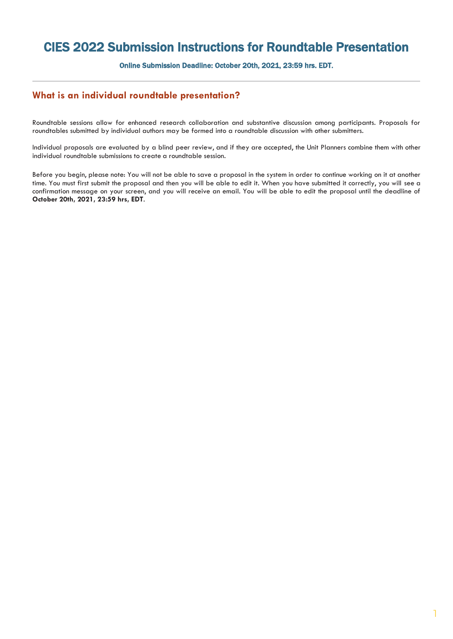## CIES 2022 Submission Instructions for Roundtable Presentation

Online Submission Deadline: October 20th, 2021, 23:59 hrs. EDT.

## **What is an individual roundtable presentation?**

Roundtable sessions allow for enhanced research collaboration and substantive discussion among participants. Proposals for roundtables submitted by individual authors may be formed into a roundtable discussion with other submitters.

Individual proposals are evaluated by a blind peer review, and if they are accepted, the Unit Planners combine them with other individual roundtable submissions to create a roundtable session.

Before you begin, please note: You will not be able to save a proposal in the system in order to continue working on it at another time. You must first submit the proposal and then you will be able to edit it. When you have submitted it correctly, you will see a confirmation message on your screen, and you will receive an email. You will be able to edit the proposal until the deadline of **October 20th, 2021, 23:59 hrs, EDT**.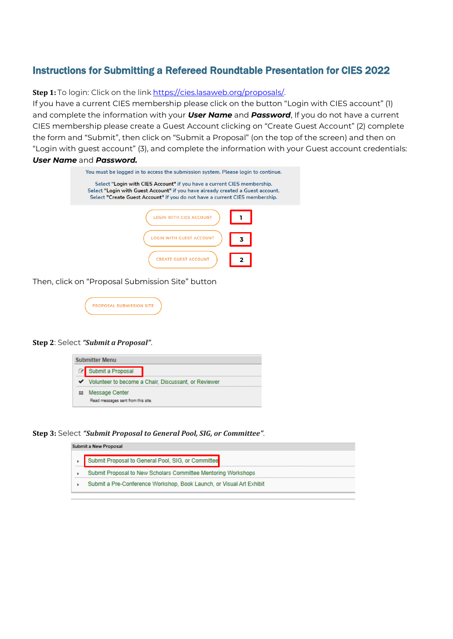## Instructions for Submitting a Refereed Roundtable Presentation for CIES 2022

**Step 1:** To login: Click on the link [https://cies.lasaweb.org/proposals/.](https://cies.lasaweb.org/proposals/)

If you have a current CIES membership please click on the button "Login with CIES account" (1) and complete the information with your *User Name* and *Password*, If you do not have a current CIES membership please create a Guest Account clicking on "Create Guest Account" (2) complete the form and "Submit", then click on "Submit a Proposal" (on the top of the screen) and then on "Login with guest account" (3), and complete the information with your Guest account credentials: *User Name* and *Password.*

| You must be logged in to access the submission system. Please login to continue.                                                                                                                                                         |   |  |  |  |  |  |
|------------------------------------------------------------------------------------------------------------------------------------------------------------------------------------------------------------------------------------------|---|--|--|--|--|--|
| Select "Login with CIES Account" if you have a current CIES membership.<br>Select "Login with Guest Account" if you have already created a Guest account.<br>Select "Create Guest Account" if you do not have a current CIES membership. |   |  |  |  |  |  |
| <b>LOGIN WITH CIES ACCOUNT</b>                                                                                                                                                                                                           |   |  |  |  |  |  |
| TH GUEST ACCOUNT                                                                                                                                                                                                                         | 3 |  |  |  |  |  |
| <b>CREATE GUEST ACCOUNT</b>                                                                                                                                                                                                              |   |  |  |  |  |  |

Then, click on "Proposal Submission Site" button

**PROPOSAL SUBMISSION SITE** 

## **Step 2**: Select *"Submit a Proposal"*.



**Step 3:** Select *"Submit Proposal to General Pool, SIG, or Committee"*.

|                | <b>Submit a New Proposal</b>                                         |
|----------------|----------------------------------------------------------------------|
| <b>ARRESTS</b> | Submit Proposal to General Pool, SIG, or Committee                   |
|                | Submit Proposal to New Scholars Committee Mentoring Workshops        |
|                | Submit a Pre-Conference Workshop, Book Launch, or Visual Art Exhibit |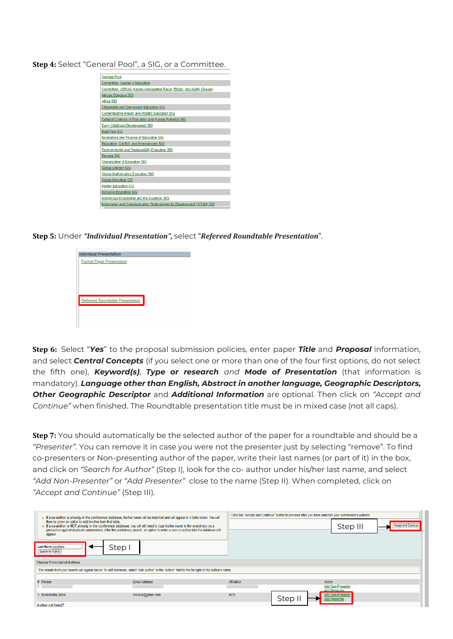**Step 4:** Select "General Pool", a SIG, or a Committee.

| <b>General Pool</b>                                                     |
|-------------------------------------------------------------------------|
| Committee: Gender & Education                                           |
| Committee: UREAG (Under-represented Racial, Ethnic, and Ability Groups) |
| African Diaspora SIG                                                    |
| Africa SIG                                                              |
| <b>Citizenship and Democratic Education SIG</b>                         |
| Contemplative Inquiry and Holistic Education SIG                        |
| Cultural Contexts of Education and Human Potential SIG                  |
| Early Childhood Development SIG                                         |
| <b>East Asia SIG</b>                                                    |
| <b>Economics and Finance of Education SIG</b>                           |
| Education, Conflict, and Emergencies SIG                                |
| <b>Environmental and Sustainability Education SIG</b>                   |
| <b>Eurasia SIG</b>                                                      |
| Globalization & Education SIG                                           |
| <b>Global Literacy SIG</b>                                              |
| <b>Global Mathematics Education SIG</b>                                 |
| <b>Global Migration SIG</b>                                             |
| <b>Higher Education SIG</b>                                             |
| <b>Inclusive Education SIG</b>                                          |
| Indigenous Knowledge and the Academy SIG                                |
| Information and Communication Technologies for Development (ICT4D) SIG  |
|                                                                         |

**Step 5:** Under *"Individual Presentation",* select "*Refereed Roundtable Presentation*".



**Step 6:** Select "*Yes*" to the proposal submission policies, enter paper *Title* and *Proposal* information, and select *Central Concepts* (if you select one or more than one of the four first options, do not select the fifth one), *Keyword(s)*, *Type or research and Mode of Presentation* (that information is mandatory). *Language other than English, Abstract in another language, Geographic Descriptors, Other Geographic Descriptor* and *Additional Information* are optional. Then click on *"Accept and Continue"* when finished. The Roundtable presentation title must be in mixed case (not all caps).

**Step 7:** You should automatically be the selected author of the paper for a roundtable and should be a *"Presenter"*. You can remove it in case you were not the presenter just by selecting "remove". To find co-presenters or Non-presenting author of the paper, write their last names (or part of it) in the box, and click on *"Search for Author"* (Step I), look for the co- author under his/her last name, and select *"Add Non-Presenter"* or *"Add Presenter"* close to the name (Step II). When completed, click on *"Accept and Continue"* (Step III).

| then be given an option to add him/her from that table.<br>appear.<br>Last Name ruscalleda<br>Search for Author<br><b>Choose From List of Authors</b> | If a co-author is already in the conference database, his/her name will be matched and will appear in a table below. You will<br>If a co-author is NOT already in the conference database, you will still need to type his/her name in the search box as a<br>precaution against duplicate submissions. After the preliminary search, an option to enter a new co-author into the database will<br>Step |             | Click the "Accept and Continue" button to proceed after you have selected your submission's Authors. | Step III                                                          | <b>Accept and Continue</b> |  |  |
|-------------------------------------------------------------------------------------------------------------------------------------------------------|---------------------------------------------------------------------------------------------------------------------------------------------------------------------------------------------------------------------------------------------------------------------------------------------------------------------------------------------------------------------------------------------------------|-------------|------------------------------------------------------------------------------------------------------|-------------------------------------------------------------------|----------------------------|--|--|
| The results from your search will appear below. To add someone, select "Add Author" in the "Action" field to the far right of the Author's name.      |                                                                                                                                                                                                                                                                                                                                                                                                         |             |                                                                                                      |                                                                   |                            |  |  |
| # Person                                                                                                                                              | <b>Email Address</b>                                                                                                                                                                                                                                                                                                                                                                                    | Affiliation | Action                                                                                               | <b>Add Non-Presenter</b>                                          |                            |  |  |
| 2 Ruscalleda, Mara                                                                                                                                    | mrusca@gmail.com                                                                                                                                                                                                                                                                                                                                                                                        | AOS         | Step I                                                                                               | <b>Add Presenter</b><br>Add Non-Presenter<br><b>Add Presenter</b> |                            |  |  |
| <b>Author not listed?</b>                                                                                                                             |                                                                                                                                                                                                                                                                                                                                                                                                         |             |                                                                                                      |                                                                   |                            |  |  |